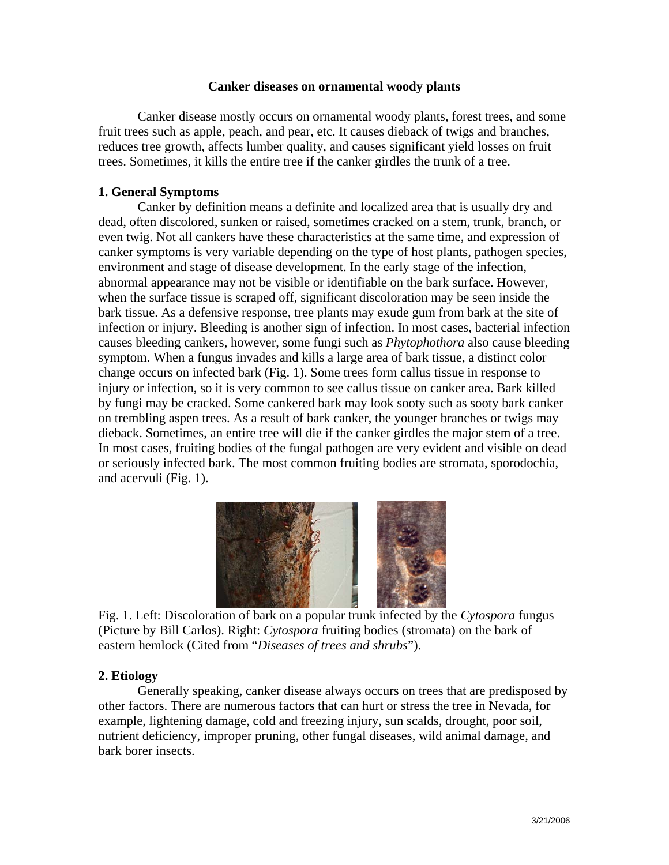## **Canker diseases on ornamental woody plants**

Canker disease mostly occurs on ornamental woody plants, forest trees, and some fruit trees such as apple, peach, and pear, etc. It causes dieback of twigs and branches, reduces tree growth, affects lumber quality, and causes significant yield losses on fruit trees. Sometimes, it kills the entire tree if the canker girdles the trunk of a tree.

# **1. General Symptoms**

Canker by definition means a definite and localized area that is usually dry and dead, often discolored, sunken or raised, sometimes cracked on a stem, trunk, branch, or even twig. Not all cankers have these characteristics at the same time, and expression of canker symptoms is very variable depending on the type of host plants, pathogen species, environment and stage of disease development. In the early stage of the infection, abnormal appearance may not be visible or identifiable on the bark surface. However, when the surface tissue is scraped off, significant discoloration may be seen inside the bark tissue. As a defensive response, tree plants may exude gum from bark at the site of infection or injury. Bleeding is another sign of infection. In most cases, bacterial infection causes bleeding cankers, however, some fungi such as *Phytophothora* also cause bleeding symptom. When a fungus invades and kills a large area of bark tissue, a distinct color change occurs on infected bark (Fig. 1). Some trees form callus tissue in response to injury or infection, so it is very common to see callus tissue on canker area. Bark killed by fungi may be cracked. Some cankered bark may look sooty such as sooty bark canker on trembling aspen trees. As a result of bark canker, the younger branches or twigs may dieback. Sometimes, an entire tree will die if the canker girdles the major stem of a tree. In most cases, fruiting bodies of the fungal pathogen are very evident and visible on dead or seriously infected bark. The most common fruiting bodies are stromata, sporodochia, and acervuli (Fig. 1).



 Fig. 1. Left: Discoloration of bark on a popular trunk infected by the *Cytospora* fungus (Picture by Bill Carlos). Right: *Cytospora* fruiting bodies (stromata) on the bark of eastern hemlock (Cited from "*Diseases of trees and shrubs*").

# **2. Etiology**

Generally speaking, canker disease always occurs on trees that are predisposed by other factors. There are numerous factors that can hurt or stress the tree in Nevada, for example, lightening damage, cold and freezing injury, sun scalds, drought, poor soil, nutrient deficiency, improper pruning, other fungal diseases, wild animal damage, and bark borer insects.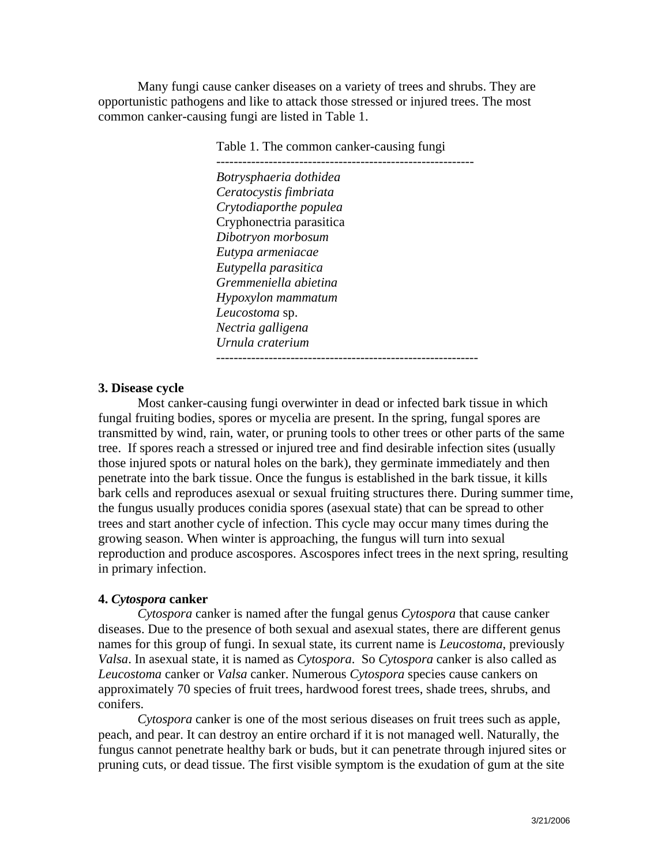Many fungi cause canker diseases on a variety of trees and shrubs. They are opportunistic pathogens and like to attack those stressed or injured trees. The most common canker-causing fungi are listed in Table 1.

Table 1. The common canker-causing fungi

--------------------------- -------------------------------- *Botrysphaeria dothidea Ceratocystis fimbriata Crytodiaporthe populea*  Cryphonectria parasitica *Dibotryon morbosum Eutypa armeniacae Eutypella parasitica Gremmeniella abietina Hypoxylon mammatum Leucostoma* sp. *Nectria galligena Urnula craterium* ------------------------------------------------------------

### **3. Disease cycle**

Most canker-causing fungi overwinter in dead or infected bark tissue in which fungal fruiting bodies, spores or mycelia are present. In the spring, fungal spores are transmitted by wind, rain, water, or pruning tools to other trees or other parts of the same tree. If spores reach a stressed or injured tree and find desirable infection sites (usually those injured spots or natural holes on the bark), they germinate immediately and then penetrate into the bark tissue. Once the fungus is established in the bark tissue, it kills bark cells and reproduces asexual or sexual fruiting structures there. During summer time, the fungus usually produces conidia spores (asexual state) that can be spread to other trees and start another cycle of infection. This cycle may occur many times during the growing season. When winter is approaching, the fungus will turn into sexual reproduction and produce ascospores. Ascospores infect trees in the next spring, resulting in primary infection.

#### **4.** *Cytospora* **canker**

*Cytospora* canker is named after the fungal genus *Cytospora* that cause canker diseases. Due to the presence of both sexual and asexual states, there are different genus names for this group of fungi. In sexual state, its current name is *Leucostoma*, previously *Valsa*. In asexual state, it is named as *Cytospora*. So *Cytospora* canker is also called as *Leucostoma* canker or *Valsa* canker. Numerous *Cytospora* species cause cankers on approximately 70 species of fruit trees, hardwood forest trees, shade trees, shrubs, and conifers.

*Cytospora* canker is one of the most serious diseases on fruit trees such as apple, peach, and pear. It can destroy an entire orchard if it is not managed well. Naturally, the fungus cannot penetrate healthy bark or buds, but it can penetrate through injured sites or pruning cuts, or dead tissue. The first visible symptom is the exudation of gum at the site